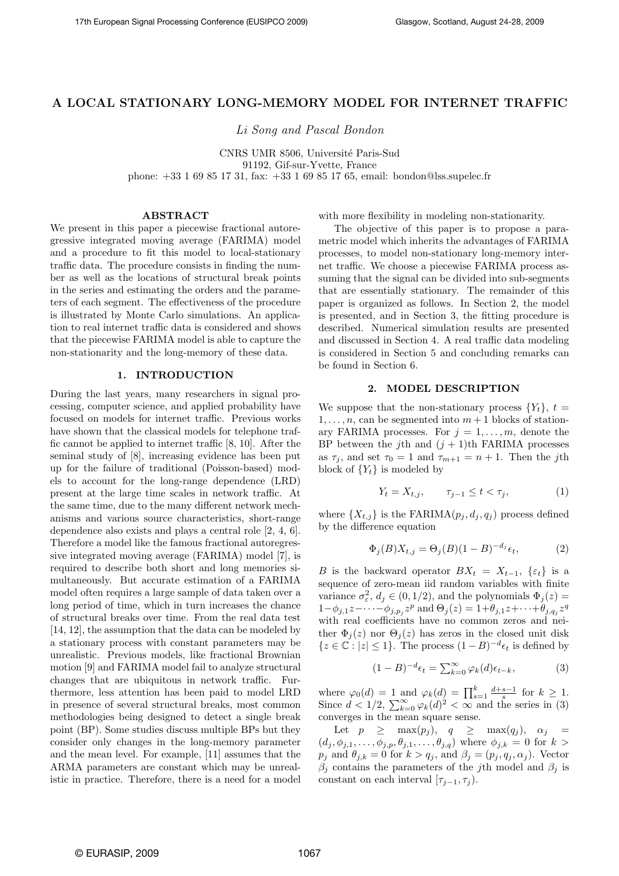# A LOCAL STATIONARY LONG-MEMORY MODEL FOR INTERNET TRAFFIC

Li Song and Pascal Bondon

CNRS UMR 8506, Université Paris-Sud 91192, Gif-sur-Yvette, France phone: +33 1 69 85 17 31, fax: +33 1 69 85 17 65, email: bondon@lss.supelec.fr

# ABSTRACT

We present in this paper a piecewise fractional autoregressive integrated moving average (FARIMA) model and a procedure to fit this model to local-stationary traffic data. The procedure consists in finding the number as well as the locations of structural break points in the series and estimating the orders and the parameters of each segment. The effectiveness of the procedure is illustrated by Monte Carlo simulations. An application to real internet traffic data is considered and shows that the piecewise FARIMA model is able to capture the non-stationarity and the long-memory of these data.

#### 1. INTRODUCTION

During the last years, many researchers in signal processing, computer science, and applied probability have focused on models for internet traffic. Previous works have shown that the classical models for telephone traffic cannot be applied to internet traffic [8, 10]. After the seminal study of [8], increasing evidence has been put up for the failure of traditional (Poisson-based) models to account for the long-range dependence (LRD) present at the large time scales in network traffic. At the same time, due to the many different network mechanisms and various source characteristics, short-range dependence also exists and plays a central role [2, 4, 6]. Therefore a model like the famous fractional autoregressive integrated moving average (FARIMA) model [7], is required to describe both short and long memories simultaneously. But accurate estimation of a FARIMA model often requires a large sample of data taken over a long period of time, which in turn increases the chance of structural breaks over time. From the real data test [14, 12], the assumption that the data can be modeled by a stationary process with constant parameters may be unrealistic. Previous models, like fractional Brownian motion [9] and FARIMA model fail to analyze structural changes that are ubiquitous in network traffic. Furthermore, less attention has been paid to model LRD in presence of several structural breaks, most common methodologies being designed to detect a single break point (BP). Some studies discuss multiple BPs but they consider only changes in the long-memory parameter and the mean level. For example, [11] assumes that the ARMA parameters are constant which may be unrealistic in practice. Therefore, there is a need for a model with more flexibility in modeling non-stationarity.

The objective of this paper is to propose a parametric model which inherits the advantages of FARIMA processes, to model non-stationary long-memory internet traffic. We choose a piecewise FARIMA process assuming that the signal can be divided into sub-segments that are essentially stationary. The remainder of this paper is organized as follows. In Section 2, the model is presented, and in Section 3, the fitting procedure is described. Numerical simulation results are presented and discussed in Section 4. A real traffic data modeling is considered in Section 5 and concluding remarks can be found in Section 6.

# 2. MODEL DESCRIPTION

We suppose that the non-stationary process  $\{Y_t\}, t =$  $1,\ldots,n$ , can be segmented into  $m+1$  blocks of stationary FARIMA processes. For  $j = 1, \ldots, m$ , denote the BP between the j<sup>th</sup> and  $(j + 1)$ <sup>th</sup> FARIMA processes as  $\tau_j$ , and set  $\tau_0 = 1$  and  $\tau_{m+1} = n + 1$ . Then the j<sup>th</sup> block of  ${Y_t}$  is modeled by

$$
Y_t = X_{t,j}, \qquad \tau_{j-1} \le t < \tau_j,\tag{1}
$$

where  $\{X_{t,j}\}\$ is the FARIMA $(p_j, d_j, q_j)$  process defined by the difference equation

$$
\Phi_j(B)X_{t,j} = \Theta_j(B)(1 - B)^{-d_j} \epsilon_t, \tag{2}
$$

B is the backward operator  $BX_t = X_{t-1}$ ,  $\{\varepsilon_t\}$  is a sequence of zero-mean iid random variables with finite variance  $\sigma_{\varepsilon}^2$ ,  $d_j \in (0, 1/2)$ , and the polynomials  $\Phi_j(z) =$  $1-\phi_{j,1}z-\cdots-\phi_{j,p_j}z^p$  and  $\Theta_j(z)=1+\theta_{j,1}z+\cdots+\theta_{j,q_j}z^q$ with real coefficients have no common zeros and neither  $\Phi_i(z)$  nor  $\Theta_i(z)$  has zeros in the closed unit disk  $\{z \in \mathbb{C} : |z| \leq 1\}$ . The process  $(1 - B)^{-d} \epsilon_t$  is defined by

$$
(1-B)^{-d}\epsilon_t = \sum_{k=0}^{\infty} \varphi_k(d)\epsilon_{t-k},\tag{3}
$$

where  $\varphi_0(d) = 1$  and  $\varphi_k(d) = \prod_{s=1}^k \frac{d+s-1}{s}$  for  $k \geq 1$ . Since  $d < 1/2$ ,  $\sum_{k=0}^{\infty} \varphi_k(d)^2 < \infty$  and the series in (3) converges in the mean square sense.

Let  $p \geq \max(p_j)$ ,  $q \geq \max(q_j)$ ,  $\alpha_j =$  $(d_j, \phi_{j,1},..., \phi_{j,p}, \theta_{j,1},..., \theta_{j,q})$  where  $\phi_{j,k} = 0$  for  $k >$  $p_j$  and  $\theta_{j,k} = 0$  for  $k > q_j$ , and  $\beta_j = (p_j, q_j, \alpha_j)$ . Vector  $\beta_j$  contains the parameters of the jth model and  $\beta_j$  is constant on each interval  $[\tau_{j-1}, \tau_j]$ .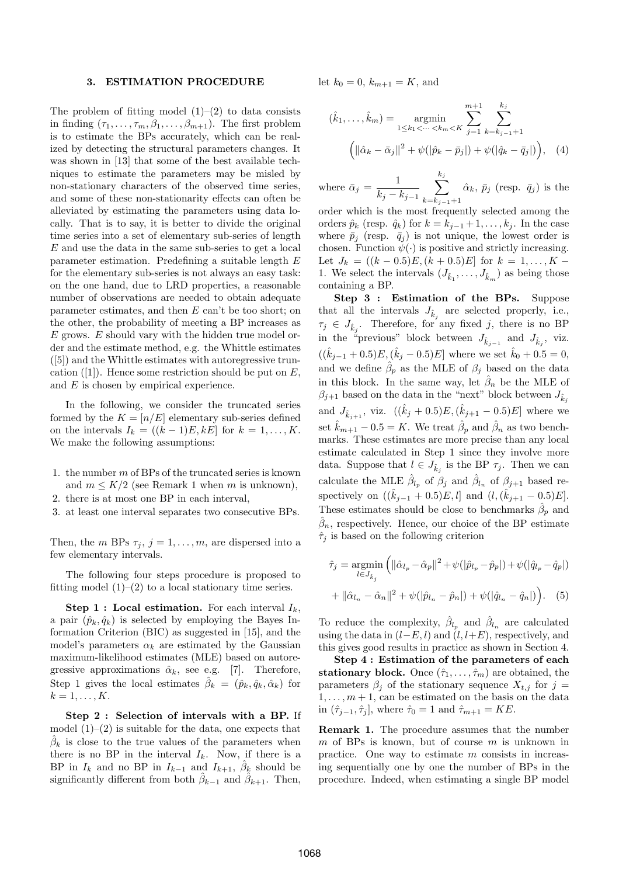#### 3. ESTIMATION PROCEDURE

The problem of fitting model  $(1)$ – $(2)$  to data consists in finding  $(\tau_1,\ldots,\tau_m,\beta_1,\ldots,\beta_{m+1})$ . The first problem is to estimate the BPs accurately, which can be realized by detecting the structural parameters changes. It was shown in [13] that some of the best available techniques to estimate the parameters may be misled by non-stationary characters of the observed time series, and some of these non-stationarity effects can often be alleviated by estimating the parameters using data locally. That is to say, it is better to divide the original time series into a set of elementary sub-series of length E and use the data in the same sub-series to get a local parameter estimation. Predefining a suitable length E for the elementary sub-series is not always an easy task: on the one hand, due to LRD properties, a reasonable number of observations are needed to obtain adequate parameter estimates, and then E can't be too short; on the other, the probability of meeting a BP increases as  $E$  grows.  $E$  should vary with the hidden true model order and the estimate method, e.g. the Whittle estimates ([5]) and the Whittle estimates with autoregressive truncation ([1]). Hence some restriction should be put on  $E$ , and E is chosen by empirical experience.

In the following, we consider the truncated series formed by the  $K = [n/E]$  elementary sub-series defined on the intervals  $I_k = ((k-1)E, kE]$  for  $k = 1, \ldots, K$ . We make the following assumptions:

- 1. the number m of BPs of the truncated series is known and  $m \leq K/2$  (see Remark 1 when m is unknown),
- 2. there is at most one BP in each interval,
- 3. at least one interval separates two consecutive BPs.

Then, the *m* BPs  $\tau_j$ ,  $j = 1, \ldots, m$ , are dispersed into a few elementary intervals.

The following four steps procedure is proposed to fitting model  $(1)$ – $(2)$  to a local stationary time series.

**Step 1 : Local estimation.** For each interval  $I_k$ , a pair  $(\hat{p}_k, \hat{q}_k)$  is selected by employing the Bayes Information Criterion (BIC) as suggested in [15], and the model's parameters  $\alpha_k$  are estimated by the Gaussian maximum-likelihood estimates (MLE) based on autoregressive approximations  $\hat{\alpha}_k$ , see e.g. [7]. Therefore, Step 1 gives the local estimates  $\hat{\beta}_k = (\hat{p}_k, \hat{q}_k, \hat{\alpha}_k)$  for  $k=1,\ldots,K$ .

Step 2 : Selection of intervals with a BP. If model  $(1)$ – $(2)$  is suitable for the data, one expects that  $\hat{\beta}_k$  is close to the true values of the parameters when there is no BP in the interval  $I_k$ . Now, if there is a BP in  $I_k$  and no BP in  $I_{k-1}$  and  $I_{k+1}$ ,  $\hat{\beta}_k$  should be significantly different from both  $\hat{\beta}_{k-1}$  and  $\hat{\beta}_{k+1}$ . Then,

let  $k_0 = 0$ ,  $k_{m+1} = K$ , and

$$
(\hat{k}_1, ..., \hat{k}_m) = \underset{1 \le k_1 < ... < k_m < K}{\operatorname{argmin}} \sum_{j=1}^{m+1} \sum_{k=k_{j-1}+1}^{k_j} \sum_{j=1 \ k=k_{j-1}+1}^{k_j} \left( \|\hat{\alpha}_k - \bar{\alpha}_j\|^2 + \psi(|\hat{p}_k - \bar{p}_j|) + \psi(|\hat{q}_k - \bar{q}_j|) \right), \quad (4)
$$

where  $\bar{\alpha}_j = \frac{1}{1}$  $k_j - k_{j-1}$  $\sum$  $k_j$  $k=k_{j-1}+1$  $\hat{\alpha}_k, \bar{p}_j$  (resp.  $\bar{q}_j$ ) is the

order which is the most frequently selected among the orders  $\hat{p}_k$  (resp.  $\hat{q}_k$ ) for  $k = k_{j-1} + 1, \ldots, k_j$ . In the case where  $\bar{p}_j$  (resp.  $\bar{q}_j$ ) is not unique, the lowest order is chosen. Function  $\psi(\cdot)$  is positive and strictly increasing. Let  $J_k = ((k-0.5)E, (k+0.5)E]$  for  $k = 1, ..., K$ 1. We select the intervals  $(J_{\hat{k}_1},...,J_{\hat{k}_m})$  as being those containing a BP.

Step 3 : Estimation of the BPs. Suppose that all the intervals  $J_{\hat{k}_j}$  are selected properly, i.e.,  $\tau_j \in J_{\hat{k}_j}$ . Therefore, for any fixed j, there is no BP in the "previous" block between  $J_{\hat{k}_j-1}$  and  $J_{\hat{k}_j}$ , viz.  $((\hat{k}_{j-1} + 0.5)E, (\hat{k}_j - 0.5)E]$  where we set  $\hat{k}_0 + 0.5 = 0$ , and we define  $\hat{\beta}_p$  as the MLE of  $\beta_j$  based on the data in this block. In the same way, let  $\hat{\beta}_n$  be the MLE of  $\beta_{j+1}$  based on the data in the "next" block between  $J_{\hat{k}_i}$ and  $J_{\hat{k}_{j+1}}$ , viz.  $((\hat{k}_j + 0.5)E, (\hat{k}_{j+1} - 0.5)E]$  where we set  $\hat{k}_{m+1} - 0.5 = K$ . We treat  $\hat{\beta}_p$  and  $\hat{\beta}_n$  as two benchmarks. These estimates are more precise than any local estimate calculated in Step 1 since they involve more data. Suppose that  $l \in J_{\hat{k}_j}$  is the BP  $\tau_j$ . Then we can calculate the MLE  $\hat{\beta}_{l_p}$  of  $\beta_j$  and  $\hat{\beta}_{l_n}$  of  $\beta_{j+1}$  based respectively on  $((\hat{k}_{j-1} + 0.5)E, l]$  and  $(l, (\hat{k}_{j+1} - 0.5)E]$ . These estimates should be close to benchmarks  $\hat{\beta}_p$  and  $\hat{\beta}_n$ , respectively. Hence, our choice of the BP estimate  $\hat{\tau}_i$  is based on the following criterion

$$
\hat{\tau}_j = \underset{l \in J_{\hat{k}_j}}{\text{argmin}} \left( \| \hat{\alpha}_{l_p} - \hat{\alpha}_p \|^2 + \psi(|\hat{p}_{l_p} - \hat{p}_p|) + \psi(|\hat{q}_{l_p} - \hat{q}_p|) \right)
$$

$$
+ \| \hat{\alpha}_{l_n} - \hat{\alpha}_n \|^2 + \psi(|\hat{p}_{l_n} - \hat{p}_n|) + \psi(|\hat{q}_{l_n} - \hat{q}_n|) \right). \tag{5}
$$

To reduce the complexity,  $\hat{\beta}_{l_p}$  and  $\hat{\beta}_{l_n}$  are calculated using the data in  $(l-E,l)$  and  $(l,l+E)$ , respectively, and this gives good results in practice as shown in Section 4.

Step 4 : Estimation of the parameters of each stationary block. Once  $(\hat{\tau}_1, \ldots, \hat{\tau}_m)$  are obtained, the parameters  $\beta_i$  of the stationary sequence  $X_{t,j}$  for  $j =$  $1, \ldots, m+1$ , can be estimated on the basis on the data in  $(\hat{\tau}_{j-1}, \hat{\tau}_j]$ , where  $\hat{\tau}_0 = 1$  and  $\hat{\tau}_{m+1} = KE$ .

Remark 1. The procedure assumes that the number  $m$  of BPs is known, but of course  $m$  is unknown in practice. One way to estimate  $m$  consists in increasing sequentially one by one the number of BPs in the procedure. Indeed, when estimating a single BP model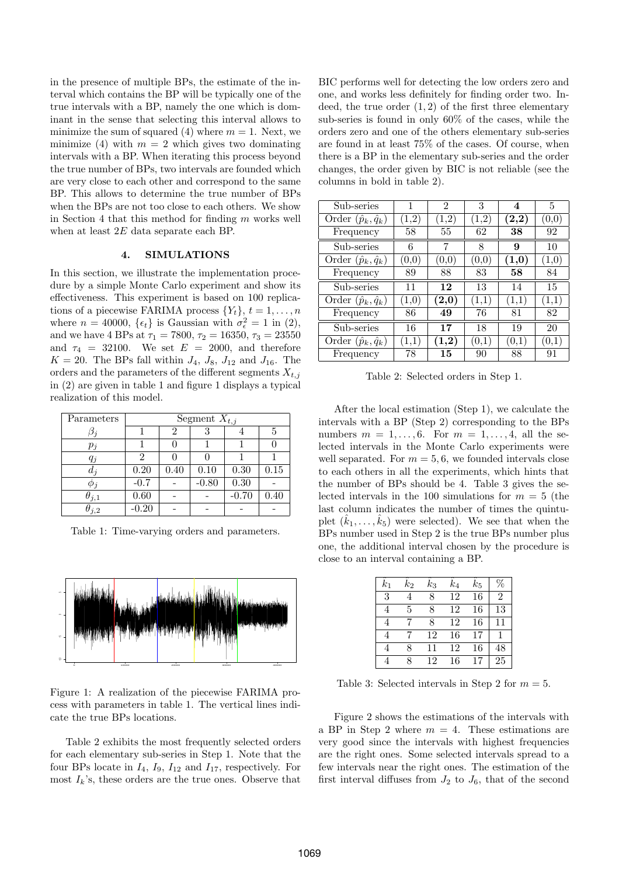in the presence of multiple BPs, the estimate of the interval which contains the BP will be typically one of the true intervals with a BP, namely the one which is dominant in the sense that selecting this interval allows to minimize the sum of squared (4) where  $m = 1$ . Next, we minimize (4) with  $m = 2$  which gives two dominating intervals with a BP. When iterating this process beyond the true number of BPs, two intervals are founded which are very close to each other and correspond to the same BP. This allows to determine the true number of BPs when the BPs are not too close to each others. We show in Section 4 that this method for finding  $m$  works well when at least 2E data separate each BP.

# 4. SIMULATIONS

In this section, we illustrate the implementation procedure by a simple Monte Carlo experiment and show its effectiveness. This experiment is based on 100 replications of a piecewise FARIMA process  $\{Y_t\}, t = 1, \ldots, n$ where  $n = 40000$ ,  $\{\epsilon_t\}$  is Gaussian with  $\sigma_{\epsilon}^2 = 1$  in (2), and we have 4 BPs at  $\tau_1 = 7800$ ,  $\tau_2 = 16350$ ,  $\tau_3 = 23550$ and  $\tau_4$  = 32100. We set  $E = 2000$ , and therefore  $K = 20$ . The BPs fall within  $J_4$ ,  $J_8$ ,  $J_{12}$  and  $J_{16}$ . The orders and the parameters of the different segments  $X_{t,j}$ in (2) are given in table 1 and figure 1 displays a typical realization of this model.

| Parameters       | Segment $X_{t,j}$ |      |         |         |      |  |
|------------------|-------------------|------|---------|---------|------|--|
|                  |                   | 2    |         |         |      |  |
| $p_j$            |                   |      |         |         |      |  |
| $q_j$            |                   |      |         |         |      |  |
| $d_i$            | 0.20              | 0.40 | 0.10    | 0.30    | 0.15 |  |
| $\varphi$ $_{i}$ | $-0.7$            |      | $-0.80$ | 0.30    |      |  |
| $\theta_{j,1}$   | 0.60              |      |         | $-0.70$ | 0.40 |  |
| i, 2             | $-0.20$           |      |         |         |      |  |

Table 1: Time-varying orders and parameters.



Figure 1: A realization of the piecewise FARIMA process with parameters in table 1. The vertical lines indicate the true BPs locations.

Table 2 exhibits the most frequently selected orders for each elementary sub-series in Step 1. Note that the four BPs locate in  $I_4$ ,  $I_9$ ,  $I_{12}$  and  $I_{17}$ , respectively. For most  $I_k$ 's, these orders are the true ones. Observe that

BIC performs well for detecting the low orders zero and one, and works less definitely for finding order two. Indeed, the true order  $(1, 2)$  of the first three elementary sub-series is found in only 60% of the cases, while the orders zero and one of the others elementary sub-series are found in at least 75% of the cases. Of course, when there is a BP in the elementary sub-series and the order changes, the order given by BIC is not reliable (see the columns in bold in table 2).

| Sub-series                     |            | 2                     | 3     | 4                     | 5                     |
|--------------------------------|------------|-----------------------|-------|-----------------------|-----------------------|
| Order $(\hat{p}_k, \hat{q}_k)$ | $^{(1,2)}$ | (1,2)                 | (1,2) | $\left( 2,2\right)$   | (0,0)                 |
| Frequency                      | 58         | 55                    | 62    | 38                    | 92                    |
| Sub-series                     | 6          | 7                     | 8     | 9                     | 10                    |
| Order $(\hat{p}_k, \hat{q}_k)$ | (0,0)      | (0,0)                 | (0,0) | $\scriptstyle{(1,0)}$ | (1,0)                 |
| Frequency                      | 89         | 88                    | 83    | 58                    | 84                    |
| Sub-series                     | 11         | 12                    | 13    | 14                    | 15                    |
| Order $(\hat{p}_k, \hat{q}_k)$ | $_{(1,0)}$ | $\scriptstyle{(2,0)}$ | (1,1) | (1,1)                 | $\scriptstyle{(1,1)}$ |
|                                |            |                       |       |                       |                       |
| Frequency                      | 86         | 49                    | 76    | 81                    | 82                    |
| Sub-series                     | 16         | 17                    | 18    | 19                    | 20                    |
| Order $(\hat{p}_k, \hat{q}_k)$ | (1,1)      | $\left( 1,\!2\right)$ | (0,1) | (0,1)                 | (0,1)                 |

Table 2: Selected orders in Step 1.

After the local estimation (Step 1), we calculate the intervals with a BP (Step 2) corresponding to the BPs numbers  $m = 1, \ldots, 6$ . For  $m = 1, \ldots, 4$ , all the selected intervals in the Monte Carlo experiments were well separated. For  $m = 5, 6$ , we founded intervals close to each others in all the experiments, which hints that the number of BPs should be 4. Table 3 gives the selected intervals in the 100 simulations for  $m = 5$  (the last column indicates the number of times the quintuplet  $(\hat{k}_1,\ldots,\hat{k}_5)$  were selected). We see that when the BPs number used in Step 2 is the true BPs number plus one, the additional interval chosen by the procedure is close to an interval containing a BP.

| $k_{1}$ | $k_2$ | $\kappa_{3}$ | $\,kappa_4$ | $\scriptstyle k_5$ |    |
|---------|-------|--------------|-------------|--------------------|----|
| 3       |       | 8            | 12          | 16                 | 2  |
|         | 5     | 8            | 12          | 16                 | 13 |
|         |       | 8            | 12          | 16                 | 11 |
|         |       | 12           | 16          | 17                 |    |
|         |       | 11           | 12          | 16                 | 48 |
|         |       | 12           | 16          |                    | 25 |

Table 3: Selected intervals in Step 2 for  $m = 5$ .

Figure 2 shows the estimations of the intervals with a BP in Step 2 where  $m = 4$ . These estimations are very good since the intervals with highest frequencies are the right ones. Some selected intervals spread to a few intervals near the right ones. The estimation of the first interval diffuses from  $J_2$  to  $J_6$ , that of the second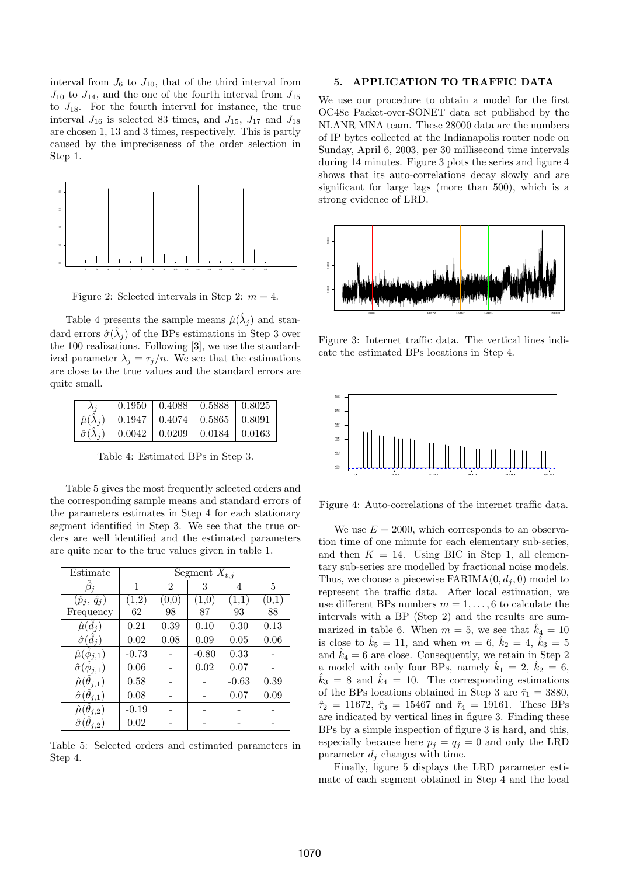interval from  $J_6$  to  $J_{10}$ , that of the third interval from  $J_{10}$  to  $J_{14}$ , and the one of the fourth interval from  $J_{15}$ to  $J_{18}$ . For the fourth interval for instance, the true interval  $J_{16}$  is selected 83 times, and  $J_{15}$ ,  $J_{17}$  and  $J_{18}$ are chosen 1, 13 and 3 times, respectively. This is partly caused by the impreciseness of the order selection in Step 1.



Figure 2: Selected intervals in Step 2:  $m = 4$ .

Table 4 presents the sample means  $\hat{\mu}(\hat{\lambda}_j)$  and standard errors  $\hat{\sigma}(\hat{\lambda}_j)$  of the BPs estimations in Step 3 over the 100 realizations. Following [3], we use the standardized parameter  $\lambda_i = \tau_i/n$ . We see that the estimations are close to the true values and the standard errors are quite small.

|                           |                                          | $0.1950 \pm 0.4088 \pm 0.5888 \pm 0.8025$ |                             |  |
|---------------------------|------------------------------------------|-------------------------------------------|-----------------------------|--|
| $\hat{\mu}(\lambda_i)$    | $\mid$ 0.1947   0.4074   0.5865   0.8091 |                                           |                             |  |
| $\hat{\sigma}(\lambda_i)$ | $\vert 0.0042 \vert 0.0209$              |                                           | $\vert 0.0184 \vert 0.0163$ |  |

Table 4: Estimated BPs in Step 3.

Table 5 gives the most frequently selected orders and the corresponding sample means and standard errors of the parameters estimates in Step 4 for each stationary segment identified in Step 3. We see that the true orders are well identified and the estimated parameters are quite near to the true values given in table 1.

| Estimate                           | Segment $X_{t,j}$ |       |         |         |       |  |
|------------------------------------|-------------------|-------|---------|---------|-------|--|
|                                    | 1                 | 2     | 3       | 4       | 5     |  |
| $(\hat{p}_j, \hat{q}_j)$           | (1,2)             | (0,0) | (1,0)   | (1,1)   | (0,1) |  |
| Frequency                          | 62                | 98    | 87      | 93      | 88    |  |
| $\hat{\mu}(\hat{d}_i)$             | 0.21              | 0.39  | 0.10    | 0.30    | 0.13  |  |
| $\hat{\sigma}(d_i)$                | 0.02              | 0.08  | 0.09    | 0.05    | 0.06  |  |
| $\hat{\mu}(\hat{\phi}_{j,1})$      | $-0.73$           |       | $-0.80$ | 0.33    |       |  |
| $\hat{\sigma}(\phi_{j,1})$         | 0.06              |       | 0.02    | 0.07    |       |  |
| $\hat{\mu}(\hat{\theta}_{j,1})$    | 0.58              |       |         | $-0.63$ | 0.39  |  |
| $\hat{\sigma}(\hat{\theta}_{j,1})$ | 0.08              |       |         | 0.07    | 0.09  |  |
| $\hat{\mu}(\hat{\theta}_{j,2})$    | $-0.19$           |       |         |         |       |  |
| $\hat{\sigma}(\theta_{j,2})$       | 0.02              |       |         |         |       |  |

Table 5: Selected orders and estimated parameters in Step 4.

# 5. APPLICATION TO TRAFFIC DATA

We use our procedure to obtain a model for the first OC48c Packet-over-SONET data set published by the NLANR MNA team. These 28000 data are the numbers of IP bytes collected at the Indianapolis router node on Sunday, April 6, 2003, per 30 millisecond time intervals during 14 minutes. Figure 3 plots the series and figure 4 shows that its auto-correlations decay slowly and are significant for large lags (more than 500), which is a strong evidence of LRD.



Figure 3: Internet traffic data. The vertical lines indicate the estimated BPs locations in Step 4.



Figure 4: Auto-correlations of the internet traffic data.

We use  $E = 2000$ , which corresponds to an observation time of one minute for each elementary sub-series, and then  $K = 14$ . Using BIC in Step 1, all elementary sub-series are modelled by fractional noise models. Thus, we choose a piecewise  $FARIMA(0, d_i, 0)$  model to represent the traffic data. After local estimation, we use different BPs numbers  $m = 1, \ldots, 6$  to calculate the intervals with a BP (Step 2) and the results are summarized in table 6. When  $m = 5$ , we see that  $k_4 = 10$ is close to  $\hat{k}_5 = 11$ , and when  $m = 6$ ,  $\hat{k}_2 = 4$ ,  $\hat{k}_3 = 5$ and  $\hat{k}_4 = 6$  are close. Consequently, we retain in Step 2 a model with only four BPs, namely  $\hat{k}_1 = 2$ ,  $\hat{k}_2 = 6$ ,  $\hat{k}_3 = 8$  and  $\hat{k}_4 = 10$ . The corresponding estimations of the BPs locations obtained in Step 3 are  $\hat{\tau}_1 = 3880$ ,  $\hat{\tau}_2 = 11672, \ \hat{\tau}_3 = 15467 \text{ and } \ \hat{\tau}_4 = 19161. \text{ These } \text{BPs}$ are indicated by vertical lines in figure 3. Finding these BPs by a simple inspection of figure 3 is hard, and this, especially because here  $p_j = q_j = 0$  and only the LRD parameter  $d_j$  changes with time.

Finally, figure 5 displays the LRD parameter estimate of each segment obtained in Step 4 and the local